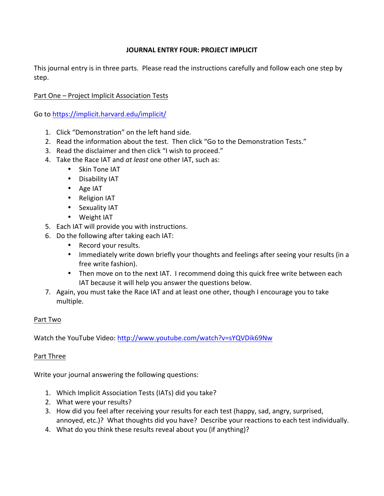## **JOURNAL FNTRY FOUR: PROJECT IMPLICIT**

This journal entry is in three parts. Please read the instructions carefully and follow each one step by step. 

## Part One – Project Implicit Association Tests

Go to https://implicit.harvard.edu/implicit/

- 1. Click "Demonstration" on the left hand side.
- 2. Read the information about the test. Then click "Go to the Demonstration Tests."
- 3. Read the disclaimer and then click "I wish to proceed."
- 4. Take the Race IAT and *at least* one other IAT, such as:
	- Skin Tone IAT
	- Disability IAT
	- Age IAT
	- Religion IAT
	- Sexuality IAT
	- Weight IAT
- 5. Each IAT will provide you with instructions.
- 6. Do the following after taking each IAT:
	- Record your results.
	- Immediately write down briefly your thoughts and feelings after seeing your results (in a free write fashion).
	- Then move on to the next IAT. I recommend doing this quick free write between each IAT because it will help you answer the questions below.
- 7. Again, you must take the Race IAT and at least one other, though I encourage you to take multiple.

## Part Two

Watch the YouTube Video: http://www.youtube.com/watch?v=sYQVDik69Nw

## Part Three

Write your journal answering the following questions:

- 1. Which Implicit Association Tests (IATs) did you take?
- 2. What were your results?
- 3. How did you feel after receiving your results for each test (happy, sad, angry, surprised, annoyed, etc.)? What thoughts did you have? Describe your reactions to each test individually.
- 4. What do you think these results reveal about you (if anything)?